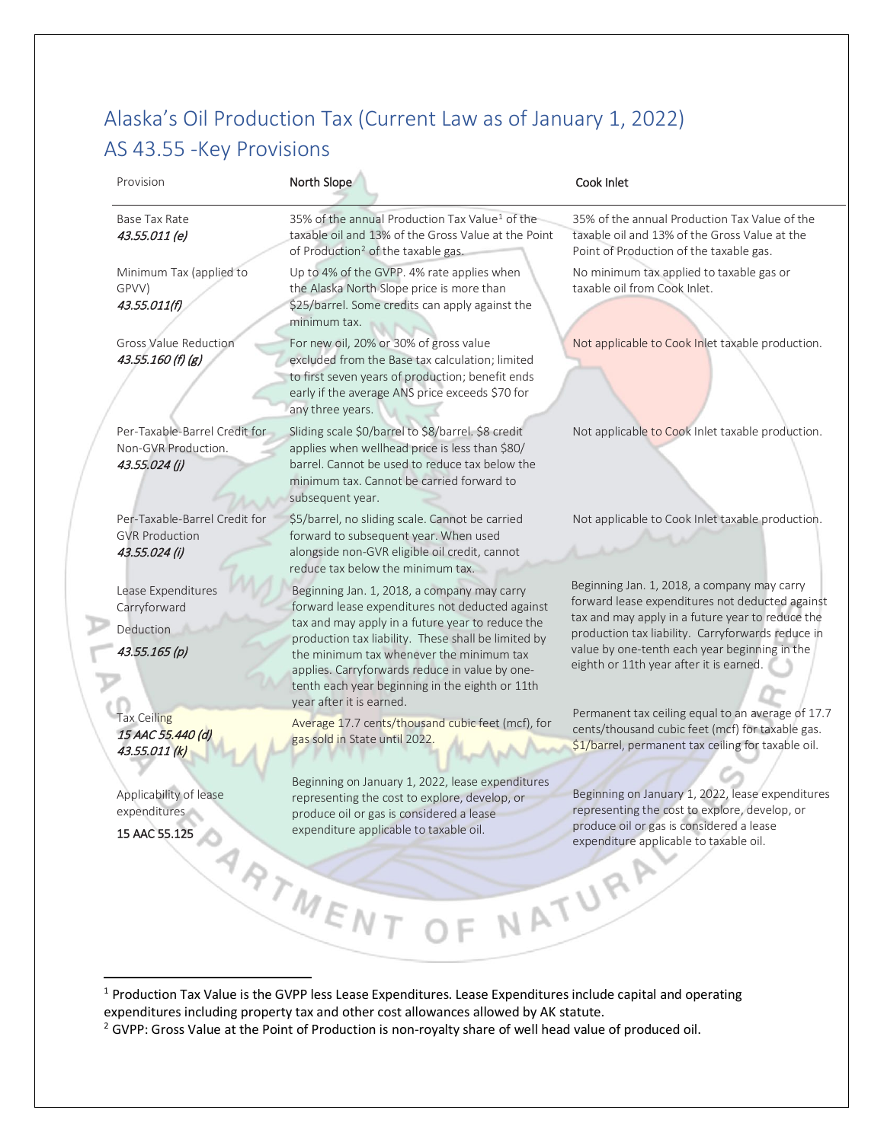## Alaska's Oil Production Tax (Current Law as of January 1, 2022) AS 43.55 -Key Provisions

| Provision                                                               | North Slope                                                                                                                                                                                                                                                                                                                                                                            | Cook Inlet                                                                                                                                                                                                                                                                                          |
|-------------------------------------------------------------------------|----------------------------------------------------------------------------------------------------------------------------------------------------------------------------------------------------------------------------------------------------------------------------------------------------------------------------------------------------------------------------------------|-----------------------------------------------------------------------------------------------------------------------------------------------------------------------------------------------------------------------------------------------------------------------------------------------------|
| Base Tax Rate<br>43.55.011 (e)                                          | 35% of the annual Production Tax Value <sup>1</sup> of the<br>taxable oil and 13% of the Gross Value at the Point<br>of Production <sup>2</sup> of the taxable gas.                                                                                                                                                                                                                    | 35% of the annual Production Tax Value of the<br>taxable oil and 13% of the Gross Value at the<br>Point of Production of the taxable gas.                                                                                                                                                           |
| Minimum Tax (applied to<br>GPVV)<br>43.55.011(f)                        | Up to 4% of the GVPP. 4% rate applies when<br>the Alaska North Slope price is more than<br>\$25/barrel. Some credits can apply against the<br>minimum tax.                                                                                                                                                                                                                             | No minimum tax applied to taxable gas or<br>taxable oil from Cook Inlet.                                                                                                                                                                                                                            |
| <b>Gross Value Reduction</b><br>$43.55.160$ (f) (g)                     | For new oil, 20% or 30% of gross value<br>excluded from the Base tax calculation; limited<br>to first seven years of production; benefit ends<br>early if the average ANS price exceeds \$70 for<br>any three years.                                                                                                                                                                   | Not applicable to Cook Inlet taxable production.                                                                                                                                                                                                                                                    |
| Per-Taxable-Barrel Credit for<br>Non-GVR Production.<br>43.55.024 (j)   | Sliding scale \$0/barrel to \$8/barrel. \$8 credit<br>applies when wellhead price is less than \$80/<br>barrel. Cannot be used to reduce tax below the<br>minimum tax. Cannot be carried forward to<br>subsequent year.                                                                                                                                                                | Not applicable to Cook Inlet taxable production.                                                                                                                                                                                                                                                    |
| Per-Taxable-Barrel Credit for<br><b>GVR Production</b><br>43.55.024 (i) | \$5/barrel, no sliding scale. Cannot be carried<br>forward to subsequent year. When used<br>alongside non-GVR eligible oil credit, cannot<br>reduce tax below the minimum tax.                                                                                                                                                                                                         | Not applicable to Cook Inlet taxable production.                                                                                                                                                                                                                                                    |
| Lease Expenditures<br>Carryforward<br>Deduction<br>43.55.165 (p)        | Beginning Jan. 1, 2018, a company may carry<br>forward lease expenditures not deducted against<br>tax and may apply in a future year to reduce the<br>production tax liability. These shall be limited by<br>the minimum tax whenever the minimum tax<br>applies. Carryforwards reduce in value by one-<br>tenth each year beginning in the eighth or 11th<br>year after it is earned. | Beginning Jan. 1, 2018, a company may carry<br>forward lease expenditures not deducted against<br>tax and may apply in a future year to reduce the<br>production tax liability. Carryforwards reduce in<br>value by one-tenth each year beginning in the<br>eighth or 11th year after it is earned. |
| <b>Tax Ceiling</b><br>15 AAC 55.440 (d)<br>43.55.011 (k)                | Average 17.7 cents/thousand cubic feet (mcf), for<br>gas sold in State until 2022.                                                                                                                                                                                                                                                                                                     | Permanent tax ceiling equal to an average of 17.7<br>cents/thousand cubic feet (mcf) for taxable gas.<br>\$1/barrel, permanent tax ceiling for taxable oil.                                                                                                                                         |
| Applicability of lease                                                  | Beginning on January 1, 2022, lease expenditures<br>representing the cost to explore, develop, or<br>produce oil or gas is considered a lease<br>expenditure applicable to taxable oil.                                                                                                                                                                                                | Beginning on January 1, 2022, lease expenditures<br>representing the cost to explore, develop, or<br>produce oil or gas is considered a lease<br>expenditure applicable to taxable oil.                                                                                                             |
| pplica.<br>Expenditures<br>15 AAC 55.125                                |                                                                                                                                                                                                                                                                                                                                                                                        | NATURA                                                                                                                                                                                                                                                                                              |

<span id="page-0-0"></span><sup>1</sup> Production Tax Value is the GVPP less Lease Expenditures. Lease Expenditures include capital and operating expenditures including property tax and other cost allowances allowed by AK statute.

<span id="page-0-1"></span><sup>&</sup>lt;sup>2</sup> GVPP: Gross Value at the Point of Production is non-royalty share of well head value of produced oil.